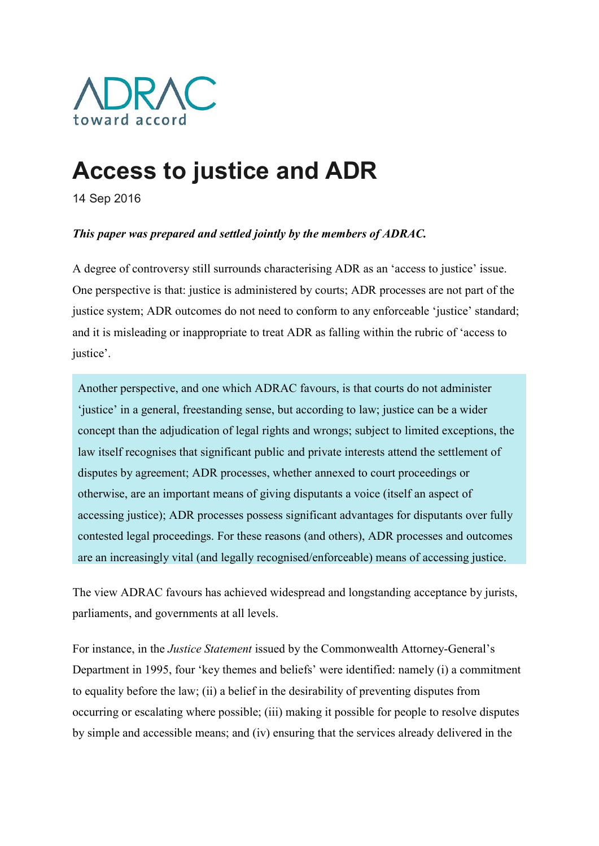

## Access to justice and ADR

14 Sep 2016

## This paper was prepared and settled jointly by the members of ADRAC.

A degree of controversy still surrounds characterising ADR as an 'access to justice' issue. One perspective is that: justice is administered by courts; ADR processes are not part of the justice system; ADR outcomes do not need to conform to any enforceable 'justice' standard; and it is misleading or inappropriate to treat ADR as falling within the rubric of 'access to justice'.

Another perspective, and one which ADRAC favours, is that courts do not administer 'justice' in a general, freestanding sense, but according to law; justice can be a wider concept than the adjudication of legal rights and wrongs; subject to limited exceptions, the law itself recognises that significant public and private interests attend the settlement of disputes by agreement; ADR processes, whether annexed to court proceedings or otherwise, are an important means of giving disputants a voice (itself an aspect of accessing justice); ADR processes possess significant advantages for disputants over fully contested legal proceedings. For these reasons (and others), ADR processes and outcomes are an increasingly vital (and legally recognised/enforceable) means of accessing justice.

The view ADRAC favours has achieved widespread and longstanding acceptance by jurists, parliaments, and governments at all levels.

For instance, in the Justice Statement issued by the Commonwealth Attorney-General's Department in 1995, four 'key themes and beliefs' were identified: namely (i) a commitment to equality before the law; (ii) a belief in the desirability of preventing disputes from occurring or escalating where possible; (iii) making it possible for people to resolve disputes by simple and accessible means; and (iv) ensuring that the services already delivered in the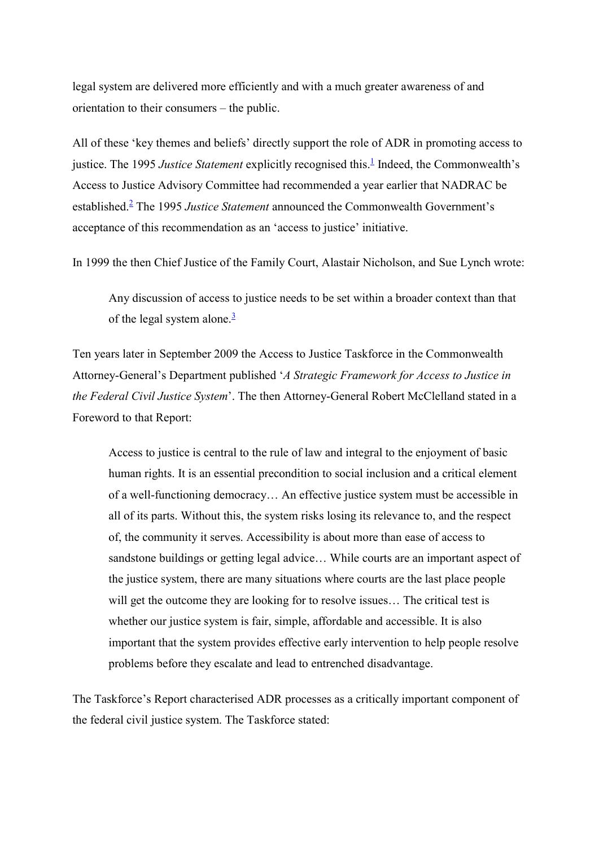legal system are delivered more efficiently and with a much greater awareness of and orientation to their consumers – the public.

All of these 'key themes and beliefs' directly support the role of ADR in promoting access to justice. The 1995 Justice Statement explicitly recognised this. $\frac{1}{2}$  Indeed, the Commonwealth's Access to Justice Advisory Committee had recommended a year earlier that NADRAC be established.<sup>2</sup> The 1995 Justice Statement announced the Commonwealth Government's acceptance of this recommendation as an 'access to justice' initiative.

In 1999 the then Chief Justice of the Family Court, Alastair Nicholson, and Sue Lynch wrote:

Any discussion of access to justice needs to be set within a broader context than that of the legal system alone. $\frac{3}{5}$ 

Ten years later in September 2009 the Access to Justice Taskforce in the Commonwealth Attorney-General's Department published 'A Strategic Framework for Access to Justice in the Federal Civil Justice System'. The then Attorney-General Robert McClelland stated in a Foreword to that Report:

Access to justice is central to the rule of law and integral to the enjoyment of basic human rights. It is an essential precondition to social inclusion and a critical element of a well-functioning democracy… An effective justice system must be accessible in all of its parts. Without this, the system risks losing its relevance to, and the respect of, the community it serves. Accessibility is about more than ease of access to sandstone buildings or getting legal advice… While courts are an important aspect of the justice system, there are many situations where courts are the last place people will get the outcome they are looking for to resolve issues... The critical test is whether our justice system is fair, simple, affordable and accessible. It is also important that the system provides effective early intervention to help people resolve problems before they escalate and lead to entrenched disadvantage.

The Taskforce's Report characterised ADR processes as a critically important component of the federal civil justice system. The Taskforce stated: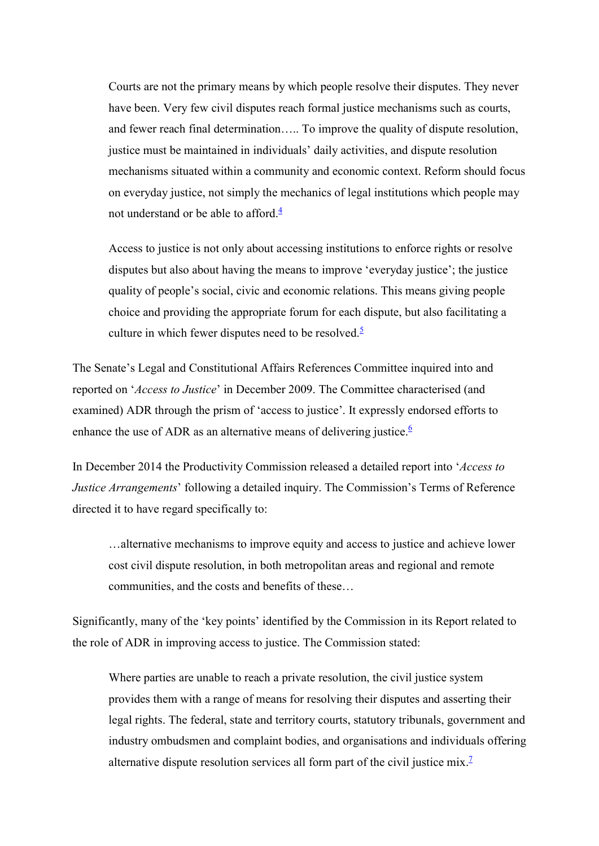Courts are not the primary means by which people resolve their disputes. They never have been. Very few civil disputes reach formal justice mechanisms such as courts, and fewer reach final determination….. To improve the quality of dispute resolution, justice must be maintained in individuals' daily activities, and dispute resolution mechanisms situated within a community and economic context. Reform should focus on everyday justice, not simply the mechanics of legal institutions which people may not understand or be able to afford. $\frac{4}{3}$ 

Access to justice is not only about accessing institutions to enforce rights or resolve disputes but also about having the means to improve 'everyday justice'; the justice quality of people's social, civic and economic relations. This means giving people choice and providing the appropriate forum for each dispute, but also facilitating a culture in which fewer disputes need to be resolved. $\frac{5}{5}$ 

The Senate's Legal and Constitutional Affairs References Committee inquired into and reported on 'Access to Justice' in December 2009. The Committee characterised (and examined) ADR through the prism of 'access to justice'. It expressly endorsed efforts to enhance the use of ADR as an alternative means of delivering justice.<sup> $6$ </sup>

In December 2014 the Productivity Commission released a detailed report into 'Access to Justice Arrangements' following a detailed inquiry. The Commission's Terms of Reference directed it to have regard specifically to:

…alternative mechanisms to improve equity and access to justice and achieve lower cost civil dispute resolution, in both metropolitan areas and regional and remote communities, and the costs and benefits of these…

Significantly, many of the 'key points' identified by the Commission in its Report related to the role of ADR in improving access to justice. The Commission stated:

Where parties are unable to reach a private resolution, the civil justice system provides them with a range of means for resolving their disputes and asserting their legal rights. The federal, state and territory courts, statutory tribunals, government and industry ombudsmen and complaint bodies, and organisations and individuals offering alternative dispute resolution services all form part of the civil justice  $mix$ <sup>1</sup>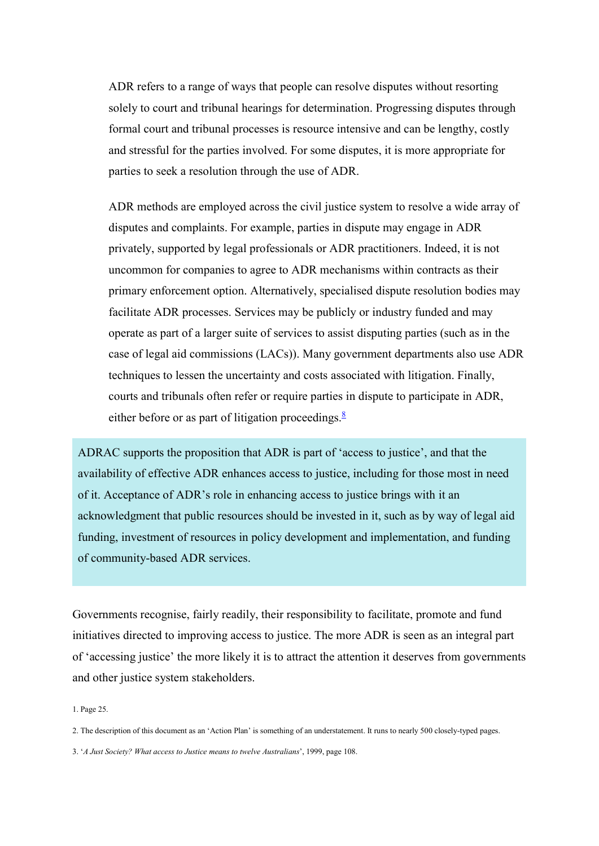ADR refers to a range of ways that people can resolve disputes without resorting solely to court and tribunal hearings for determination. Progressing disputes through formal court and tribunal processes is resource intensive and can be lengthy, costly and stressful for the parties involved. For some disputes, it is more appropriate for parties to seek a resolution through the use of ADR.

ADR methods are employed across the civil justice system to resolve a wide array of disputes and complaints. For example, parties in dispute may engage in ADR privately, supported by legal professionals or ADR practitioners. Indeed, it is not uncommon for companies to agree to ADR mechanisms within contracts as their primary enforcement option. Alternatively, specialised dispute resolution bodies may facilitate ADR processes. Services may be publicly or industry funded and may operate as part of a larger suite of services to assist disputing parties (such as in the case of legal aid commissions (LACs)). Many government departments also use ADR techniques to lessen the uncertainty and costs associated with litigation. Finally, courts and tribunals often refer or require parties in dispute to participate in ADR, either before or as part of litigation proceedings.  $\frac{8}{3}$ 

ADRAC supports the proposition that ADR is part of 'access to justice', and that the availability of effective ADR enhances access to justice, including for those most in need of it. Acceptance of ADR's role in enhancing access to justice brings with it an acknowledgment that public resources should be invested in it, such as by way of legal aid funding, investment of resources in policy development and implementation, and funding of community-based ADR services.

Governments recognise, fairly readily, their responsibility to facilitate, promote and fund initiatives directed to improving access to justice. The more ADR is seen as an integral part of 'accessing justice' the more likely it is to attract the attention it deserves from governments and other justice system stakeholders.

1. Page 25.

3. 'A Just Society? What access to Justice means to twelve Australians', 1999, page 108.

<sup>2.</sup> The description of this document as an 'Action Plan' is something of an understatement. It runs to nearly 500 closely-typed pages.